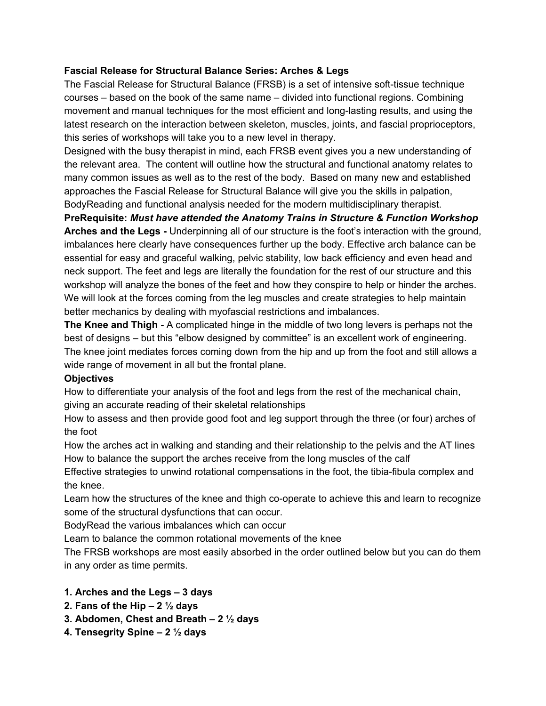## **Fascial Release for Structural Balance Series: Arches & Legs**

The Fascial Release for Structural Balance (FRSB) is a set of intensive soft-tissue technique courses – based on the book of the same name – divided into functional regions. Combining movement and manual techniques for the most efficient and long-lasting results, and using the latest research on the interaction between skeleton, muscles, joints, and fascial proprioceptors, this series of workshops will take you to a new level in therapy.

Designed with the busy therapist in mind, each FRSB event gives you a new understanding of the relevant area. The content will outline how the structural and functional anatomy relates to many common issues as well as to the rest of the body. Based on many new and established approaches the Fascial Release for Structural Balance will give you the skills in palpation, BodyReading and functional analysis needed for the modern multidisciplinary therapist.

**PreRequisite:** *Must have attended the Anatomy Trains in Structure & Function Workshop* **Arches and the Legs -** Underpinning all of our structure is the foot's interaction with the ground, imbalances here clearly have consequences further up the body. Effective arch balance can be essential for easy and graceful walking, pelvic stability, low back efficiency and even head and neck support. The feet and legs are literally the foundation for the rest of our structure and this workshop will analyze the bones of the feet and how they conspire to help or hinder the arches. We will look at the forces coming from the leg muscles and create strategies to help maintain better mechanics by dealing with myofascial restrictions and imbalances.

**The Knee and Thigh -** A complicated hinge in the middle of two long levers is perhaps not the best of designs – but this "elbow designed by committee" is an excellent work of engineering. The knee joint mediates forces coming down from the hip and up from the foot and still allows a wide range of movement in all but the frontal plane.

## **Objectives**

How to differentiate your analysis of the foot and legs from the rest of the mechanical chain, giving an accurate reading of their skeletal relationships

How to assess and then provide good foot and leg support through the three (or four) arches of the foot

How the arches act in walking and standing and their relationship to the pelvis and the AT lines How to balance the support the arches receive from the long muscles of the calf

Effective strategies to unwind rotational compensations in the foot, the tibia-fibula complex and the knee.

Learn how the structures of the knee and thigh co-operate to achieve this and learn to recognize some of the structural dysfunctions that can occur.

BodyRead the various imbalances which can occur

Learn to balance the common rotational movements of the knee

The FRSB workshops are most easily absorbed in the order outlined below but you can do them in any order as time permits.

## **1. Arches and the Legs – 3 days**

- **2. Fans of the Hip 2 ½ days**
- **3. Abdomen, Chest and Breath – 2 ½ days**
- **4. Tensegrity Spine 2 ½ days**